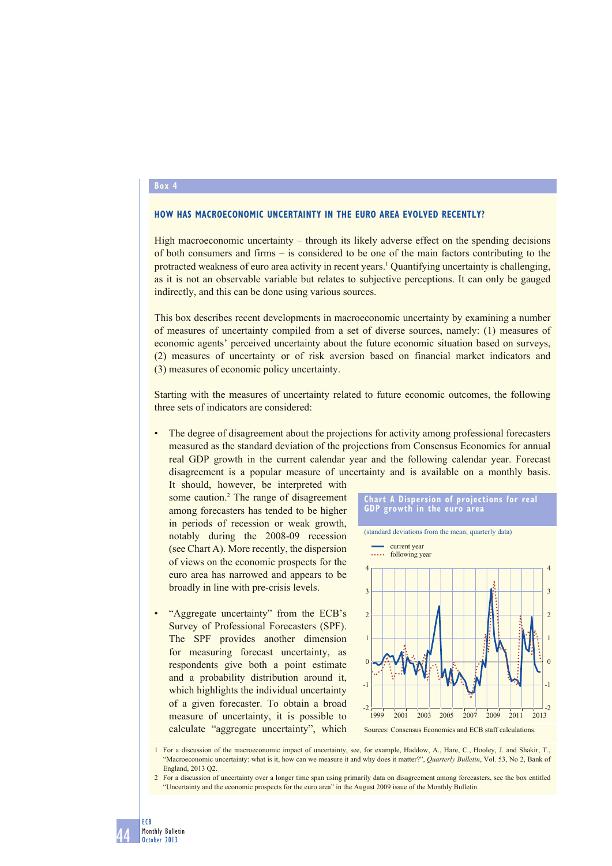### **Box 4**

### **HOW HAS MACROECONOMIC UNCERTAINTY IN THE EURO AREA EVOLVED RECENTLY?**

High macroeconomic uncertainty – through its likely adverse effect on the spending decisions of both consumers and firms – is considered to be one of the main factors contributing to the protracted weakness of euro area activity in recent years.<sup>1</sup> Quantifying uncertainty is challenging, as it is not an observable variable but relates to subjective perceptions. It can only be gauged indirectly, and this can be done using various sources.

This box describes recent developments in macroeconomic uncertainty by examining a number of measures of uncertainty compiled from a set of diverse sources, namely: (1) measures of economic agents' perceived uncertainty about the future economic situation based on surveys, (2) measures of uncertainty or of risk aversion based on financial market indicators and (3) measures of economic policy uncertainty.

Starting with the measures of uncertainty related to future economic outcomes, the following three sets of indicators are considered:

The degree of disagreement about the projections for activity among professional forecasters measured as the standard deviation of the projections from Consensus Economics for annual real GDP growth in the current calendar year and the following calendar year. Forecast disagreement is a popular measure of uncertainty and is available on a monthly basis.

It should, however, be interpreted with some caution.<sup>2</sup> The range of disagreement among forecasters has tended to be higher in periods of recession or weak growth, notably during the 2008-09 recession (see Chart A). More recently, the dispersion of views on the economic prospects for the euro area has narrowed and appears to be broadly in line with pre-crisis levels.

• "Aggregate uncertainty" from the ECB's Survey of Professional Forecasters (SPF). The SPF provides another dimension for measuring forecast uncertainty, as respondents give both a point estimate and a probability distribution around it, which highlights the individual uncertainty of a given forecaster. To obtain a broad measure of uncertainty, it is possible to calculate "aggregate uncertainty", which





1 For a discussion of the macroeconomic impact of uncertainty, see, for example, Haddow, A., Hare, C., Hooley, J. and Shakir, T., "Macroeconomic uncertainty: what is it, how can we measure it and why does it matter?", *Quarterly Bulletin*, Vol. 53, No 2, Bank of England, 2013 Q2.

2 For a discussion of uncertainty over a longer time span using primarily data on disagreement among forecasters, see the box entitled "Uncertainty and the economic prospects for the euro area" in the August 2009 issue of the Monthly Bulletin.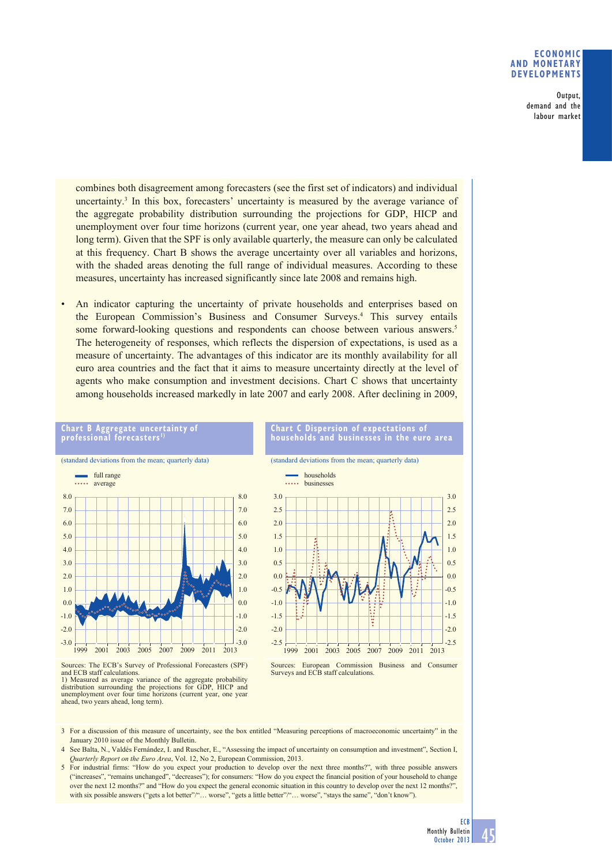## **ECONOMIC AND MONETARY DEVELOPMENTS**

Output, demand and the labour market

combines both disagreement among forecasters (see the first set of indicators) and individual uncertainty.3 In this box, forecasters' uncertainty is measured by the average variance of the aggregate probability distribution surrounding the projections for GDP, HICP and unemployment over four time horizons (current year, one year ahead, two years ahead and long term). Given that the SPF is only available quarterly, the measure can only be calculated at this frequency. Chart B shows the average uncertainty over all variables and horizons, with the shaded areas denoting the full range of individual measures. According to these measures, uncertainty has increased significantly since late 2008 and remains high.

• An indicator capturing the uncertainty of private households and enterprises based on the European Commission's Business and Consumer Surveys.4 This survey entails some forward-looking questions and respondents can choose between various answers.<sup>5</sup> The heterogeneity of responses, which reflects the dispersion of expectations, is used as a measure of uncertainty. The advantages of this indicator are its monthly availability for all euro area countries and the fact that it aims to measure uncertainty directly at the level of agents who make consumption and investment decisions. Chart C shows that uncertainty among households increased markedly in late 2007 and early 2008. After declining in 2009,



**Chart B Aggregate uncertainty of professional forecasters 1)**

Sources: The ECB's Survey of Professional Forecasters (SPF) and ECB staff calculations.

#### **Chart C Dispersion of expectations of households and businesses in the euro area**

(standard deviations from the mean; quarterly data)



Sources: European Commission Business and Consumer Surveys and ECB staff calculations.

3 For a discussion of this measure of uncertainty, see the box entitled "Measuring perceptions of macroeconomic uncertainty" in the January 2010 issue of the Monthly Bulletin.

- 4 See Balta, N., Valdés Fernández, I. and Ruscher, E., "Assessing the impact of uncertainty on consumption and investment", Section I, *Quarterly Report on the Euro Area*, Vol. 12, No 2, European Commission, 2013.
- 5 For industrial firms: "How do you expect your production to develop over the next three months?", with three possible answers ("increases", "remains unchanged", "decreases"); for consumers: "How do you expect the financial position of your household to change over the next 12 months?" and "How do you expect the general economic situation in this country to develop over the next 12 months?", with six possible answers ("gets a lot better"/"… worse", "gets a little better"/"… worse", "stays the same", "don't know").

<sup>1)</sup> Measured as average variance of the aggregate probability distribution surrounding the projections for GDP, HICP and unemployment over four time horizons (current year, one year ahead, two years ahead, long term).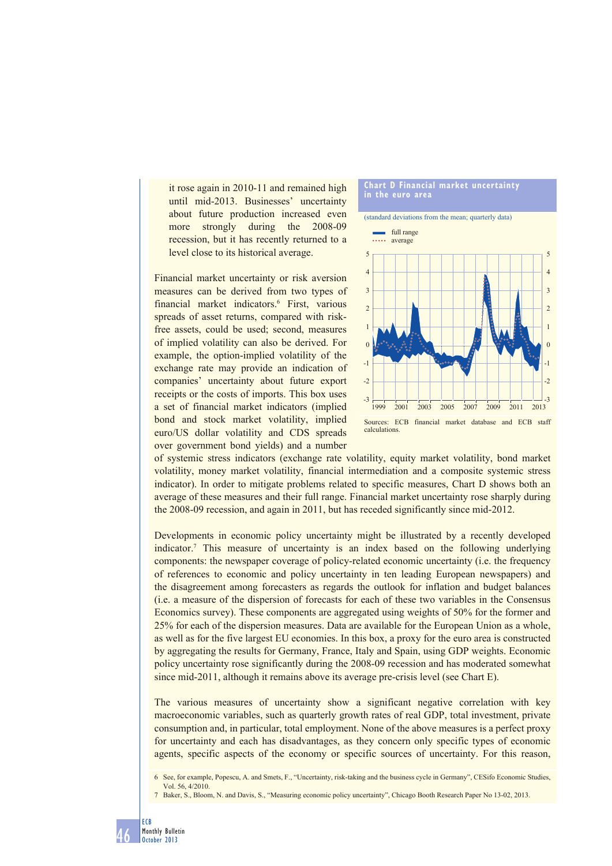it rose again in 2010-11 and remained high until mid-2013. Businesses' uncertainty about future production increased even more strongly during the 2008-09 recession, but it has recently returned to a level close to its historical average.

Financial market uncertainty or risk aversion measures can be derived from two types of financial market indicators.6 First, various spreads of asset returns, compared with riskfree assets, could be used; second, measures of implied volatility can also be derived. For example, the option-implied volatility of the exchange rate may provide an indication of companies' uncertainty about future export receipts or the costs of imports. This box uses a set of financial market indicators (implied bond and stock market volatility, implied euro/US dollar volatility and CDS spreads over government bond yields) and a number





of systemic stress indicators (exchange rate volatility, equity market volatility, bond market volatility, money market volatility, financial intermediation and a composite systemic stress indicator). In order to mitigate problems related to specific measures, Chart D shows both an average of these measures and their full range. Financial market uncertainty rose sharply during the 2008-09 recession, and again in 2011, but has receded significantly since mid-2012.

Developments in economic policy uncertainty might be illustrated by a recently developed indicator.7 This measure of uncertainty is an index based on the following underlying components: the newspaper coverage of policy-related economic uncertainty (i.e. the frequency of references to economic and policy uncertainty in ten leading European newspapers) and the disagreement among forecasters as regards the outlook for inflation and budget balances (i.e. a measure of the dispersion of forecasts for each of these two variables in the Consensus Economics survey). These components are aggregated using weights of 50% for the former and 25% for each of the dispersion measures. Data are available for the European Union as a whole, as well as for the five largest EU economies. In this box, a proxy for the euro area is constructed by aggregating the results for Germany, France, Italy and Spain, using GDP weights. Economic policy uncertainty rose significantly during the 2008-09 recession and has moderated somewhat since mid-2011, although it remains above its average pre-crisis level (see Chart E).

The various measures of uncertainty show a significant negative correlation with key macroeconomic variables, such as quarterly growth rates of real GDP, total investment, private consumption and, in particular, total employment. None of the above measures is a perfect proxy for uncertainty and each has disadvantages, as they concern only specific types of economic agents, specific aspects of the economy or specific sources of uncertainty. For this reason,

<sup>6</sup> See, for example, Popescu, A. and Smets, F., "Uncertainty, risk-taking and the business cycle in Germany", CESifo Economic Studies, Vol. 56, 4/2010.

<sup>7</sup> Baker, S., Bloom, N. and Davis, S., "Measuring economic policy uncertainty", Chicago Booth Research Paper No 13-02, 2013.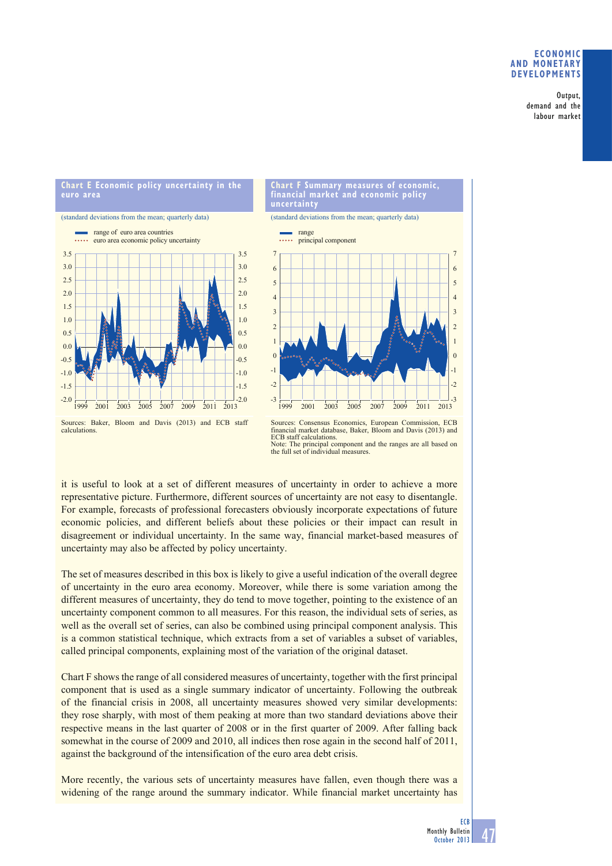## **ECONOMIC AND MONETARY DEVELOPMENTS**

Output, demand and the labour market

# **Chart E Economic policy uncertainty in the euro area**

(standard deviations from the mean; quarterly data)





(standard deviations from the mean; quarterly data)



Sources: Consensus Economics, European Commission, ECB financial market database, Baker, Bloom and Davis (2013) and ECB staff calculations. The principal component and the ranges are all based on the full set of individual measures.

it is useful to look at a set of different measures of uncertainty in order to achieve a more representative picture. Furthermore, different sources of uncertainty are not easy to disentangle. For example, forecasts of professional forecasters obviously incorporate expectations of future economic policies, and different beliefs about these policies or their impact can result in disagreement or individual uncertainty. In the same way, financial market-based measures of uncertainty may also be affected by policy uncertainty.

The set of measures described in this box is likely to give a useful indication of the overall degree of uncertainty in the euro area economy. Moreover, while there is some variation among the different measures of uncertainty, they do tend to move together, pointing to the existence of an uncertainty component common to all measures. For this reason, the individual sets of series, as well as the overall set of series, can also be combined using principal component analysis. This is a common statistical technique, which extracts from a set of variables a subset of variables, called principal components, explaining most of the variation of the original dataset.

Chart F shows the range of all considered measures of uncertainty, together with the first principal component that is used as a single summary indicator of uncertainty. Following the outbreak of the financial crisis in 2008, all uncertainty measures showed very similar developments: they rose sharply, with most of them peaking at more than two standard deviations above their respective means in the last quarter of 2008 or in the first quarter of 2009. After falling back somewhat in the course of 2009 and 2010, all indices then rose again in the second half of 2011, against the background of the intensification of the euro area debt crisis.

More recently, the various sets of uncertainty measures have fallen, even though there was a widening of the range around the summary indicator. While financial market uncertainty has